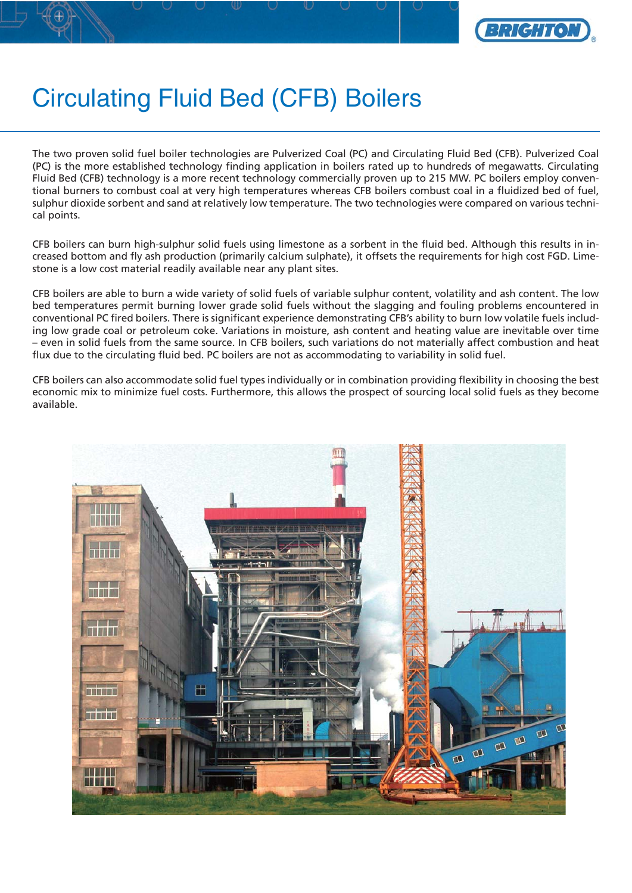

## Circulating Fluid Bed (CFB) Boilers

The two proven solid fuel boiler technologies are Pulverized Coal (PC) and Circulating Fluid Bed (CFB). Pulverized Coal (PC) is the more established technology finding application in boilers rated up to hundreds of megawatts. Circulating Fluid Bed (CFB) technology is a more recent technology commercially proven up to 215 MW. PC boilers employ conventional burners to combust coal at very high temperatures whereas CFB boilers combust coal in a fluidized bed of fuel, sulphur dioxide sorbent and sand at relatively low temperature. The two technologies were compared on various technical points.

CFB boilers can burn high-sulphur solid fuels using limestone as a sorbent in the fluid bed. Although this results in increased bottom and fly ash production (primarily calcium sulphate), it offsets the requirements for high cost FGD. Limestone is a low cost material readily available near any plant sites.

CFB boilers are able to burn a wide variety of solid fuels of variable sulphur content, volatility and ash content. The low bed temperatures permit burning lower grade solid fuels without the slagging and fouling problems encountered in conventional PC fired boilers. There is significant experience demonstrating CFB's ability to burn low volatile fuels including low grade coal or petroleum coke. Variations in moisture, ash content and heating value are inevitable over time – even in solid fuels from the same source. In CFB boilers, such variations do not materially affect combustion and heat flux due to the circulating fluid bed. PC boilers are not as accommodating to variability in solid fuel.

CFB boilers can also accommodate solid fuel types individually or in combination providing flexibility in choosing the best economic mix to minimize fuel costs. Furthermore, this allows the prospect of sourcing local solid fuels as they become available.